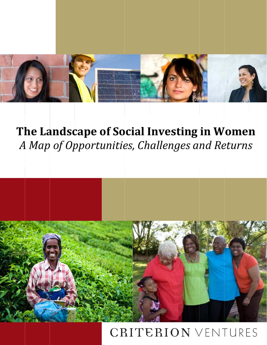

# **Th e La ndsc cape of So cial I Inves ting in W omen** *A Map of Op port tunitie s, Ch alleng es a nd Re turns*



# CRITERION VENTURES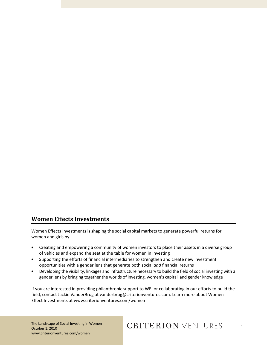### **Women Effects Investments**

Women Effects Investments is shaping the social capital markets to generate powerful returns for women and girls by

- Creating and empowering a community of women investors to place their assets in a diverse group of vehicles and expand the seat at the table for women in investing
- Supporting the efforts of financial intermediaries to strengthen and create new investment opportunities with a gender lens that generate both social *and* financial returns
- Developing the visibility, linkages and infrastructure necessary to build the field of social investing with a gender lens by bringing together the worlds of investing, women's capital and gender knowledge

If you are interested in providing philanthropic support to WEI or collaborating in our efforts to build the field, contact Jackie VanderBrug at vanderbrug@criterionventures.com. Learn more about Women Effect Investments at www.criterionventures.com/women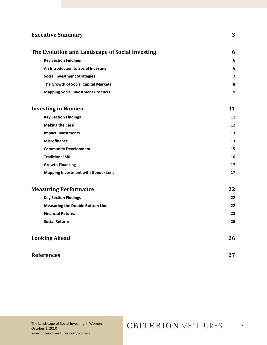| <b>Executive Summary</b>                        | 3  |
|-------------------------------------------------|----|
| The Evolution and Landscape of Social Investing | 6  |
| <b>Key Section Findings</b>                     | 6  |
| An Introduction to Social Investing             | 6  |
| <b>Social Investment Strategies</b>             | 7  |
| The Growth of Social Capital Markets            | 8  |
| <b>Mapping Social Investment Products</b>       | 9  |
| <b>Investing in Women</b>                       | 11 |
| <b>Key Section Findings</b>                     | 11 |
| <b>Making the Case</b>                          | 12 |
| <b>Impact Investments</b>                       | 13 |
| <b>Microfinance</b>                             | 13 |
| <b>Community Development</b>                    | 15 |
| <b>Traditional SRI</b>                          | 16 |
| <b>Growth Financing</b>                         | 17 |
| <b>Mapping Investment with Gender Lens</b>      | 17 |
| <b>Measuring Performance</b>                    | 22 |
| <b>Key Section Findings</b>                     | 22 |
| <b>Measuring the Double Bottom Line</b>         | 22 |
| <b>Financial Returns</b>                        | 22 |
| <b>Social Returns</b>                           | 23 |
| <b>Looking Ahead</b>                            | 26 |
| <b>References</b>                               | 27 |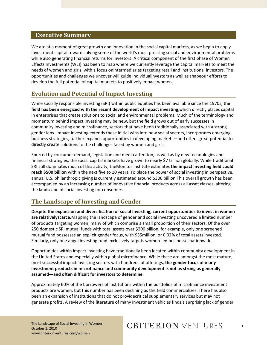#### **Executive Summary**

We are at a moment of great growth and innovation in the social capital markets, as we begin to apply investment capital toward solving some of the world's most pressing social and environmental problems while also generating financial returns for investors. A critical component of the first phase of Women Effects Investments (WEI) has been to map where we currently leverage the capital markets to meet the needs of women and girls, with a focus onintermediaries targeting retail and institutional investors. The opportunities and challenges we uncover will guide individualinvestors as well as shapeour efforts to develop the full potential of capital markets to positively impact women.

## **Evolution and Potential of Impact Investing**

While socially responsible investing (SRI) within public equities has been available since the 1970s, **the field has been energized with the recent development of impact investing**,which directly places capital in enterprises that create solutions to social and environmental problems. Much of the terminology and momentum behind impact investing may be new, but the field grows out of early successes in community investing and microfinance, sectors that have been traditionally associated with a strong gender lens. Impact investing extends these initial wins into new social sectors, incorporates emerging business strategies, further expands opportunities in developing markets—and offers great potential to directly create solutions to the challenges faced by women and girls.

Spurred by consumer demand, legislation and media attention, as well as by new technologies and financial strategies, the social capital markets have grown to nearly \$7 trillion globally. While traditional SRI still dominates much of this activity, theMonitor Institute estimates **the impact investing field could reach \$500 billion** within the next five to 10 years. To place the power of social investing in perspective, annual U.S. philanthropic giving is currently estimated around \$300 billion.This overall growth has been accompanied by an increasing number of innovative financial products across all asset classes, altering the landscape of social investing for consumers.

## **The Landscape of Investing and Gender**

**Despite the expansion and diversification of social investing, current opportunities to invest in women are relativelyscarce.**Mapping the landscape of gender and social investing uncovered a limited number of products targeting women, many of which comprise a small proportion of their sectors. Of the over 250 domestic SRI mutual funds with total assets over \$200 billion, for example, only one screened mutual fund possesses an explicit gender focus, with \$35million, or 0.02% of total assets invested. Similarly, only one angel investing fund exclusively targets women‐led businessesnationwide.

Opportunities within impact investing have traditionally been located within community development in the United States and especially within global microfinance. While these are amongst the most mature, most successful impact investing sectors with hundreds of offerings, **the gender focus of many investment products in microfinance and community development is not as strong as generally assumed—and often difficult for investors to determine**.

Approximately 60% of the borrowers of institutions within the portfolios of microfinance investment products are women, but this number has been declining as the field commercializes. There has also been an expansion of institutions that do not providecritical supplementary services but may not generate profits. A review of the literature of many investment vehicles finds a surprising lack of gender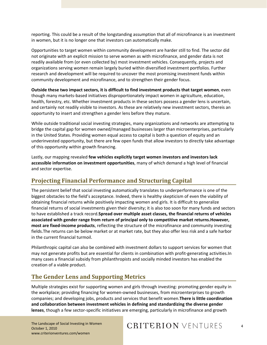reporting. This could be a result of the longstanding assumption that all of microfinance is an investment in women, but it is no longer one that investors can automatically make.

Opportunities to target women within community development are harder still to find. The sector did not originate with an explicit mission to serve women as with microfinance, and gender data is not readily available from (or even collected by) most investment vehicles. Consequently, projects and organizations serving women remain largely buried within diversified investment portfolios. Further research and development will be required to uncover the most promising investment funds within community development and microfinance, and to strengthen their gender focus.

**Outside these two impact sectors, it is difficult to find investment products that target women**, even though many markets‐based initiatives disproportionately impact women in agriculture, education, health, forestry, etc. Whether investment products in these sectors possess a gender lens is uncertain, and certainly not readily visible to investors. As these are relatively new investment sectors, thereis an opportunity to insert and strengthen a gender lens before they mature.

While outside traditional social investing strategies, many organizations and networks are attempting to bridge the capital gap for women owned/managed businesses larger than microenterprises, particularly in the United States. Providing women equal access to capital is both a question of equity and an underinvested opportunity, but there are few open funds that allow investors to directly take advantage of this opportunity within growth financing.

Lastly, our mapping revealed **few vehicles explicitly target women investors and investors lack accessible information on investment opportunities**, many of which demand a high level of financial and sector expertise.

## **Projecting Financial Performance and Structuring Capital**

The persistent belief that social investing automatically translates to underperformance is one of the biggest obstacles to the field's acceptance. Indeed, there is healthy skepticism of even the viability of obtaining financial returns while positively impacting women and girls. It is difficult to generalize financial returns of social investments given their diversity; it is also too soon for many funds and sectors to have established a track record.**Spread over multiple asset classes, the financial returns of vehicles associated with gender range from return of principal only to competitive market returns.However, most are fixed‐income products**, reflecting the structure of the microfinance and community investing fields.The returns can be below market or at market rate, but they also offer less risk and a safe harbor in the current financial turmoil.

Philanthropic capital can also be combined with investment dollars to support services for women that may not generate profits but are essential for clients in combination with profit‐generating activities.In many cases a financial subsidy from philanthropists and socially minded investors has enabled the creation of a viable product.

## **The Gender Lens and Supporting Metrics**

Multiple strategies exist for supporting women and girls through investing: promoting gender equity in the workplace; providing financing for women-owned businesses, from microenterprises to growth companies; and developing jobs, products and services that benefit women.**There is little coordination and collaboration between investment vehicles in defining and standardizing the diverse gender lenses**, though a few sector‐specific initiatives are emerging, particularly in microfinance and growth

The Landscape of Social Investing in Women www.criterionventures.com/women

## The Landscape of Social Investing in Women<br>  $\text{CRITEBION} \lor \text{ENTERS}$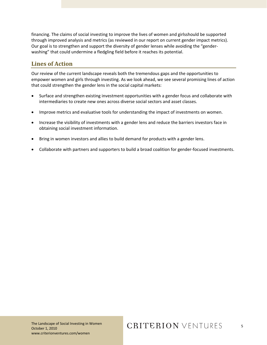financing. The claims of social investing to improve the lives of women and girlsshould be supported through improved analysis and metrics (as reviewed in our report on current gender impact metrics). Our goal is to strengthen and support the diversity of gender lenses while avoiding the "gender‐ washing" that could undermine a fledgling field before it reaches its potential.

## **Lines of Action**

Our review of the current landscape reveals both the tremendous gaps and the opportunities to empower women and girls through investing. As we look ahead, we see several promising lines of action that could strengthen the gender lens in the social capital markets:

- Surface and strengthen existing investment opportunities with a gender focus and collaborate with intermediaries to create new ones across diverse social sectors and asset classes.
- Improve metrics and evaluative tools for understanding the impact of investments on women.
- Increase the visibility of investments with a gender lens and reduce the barriers investors face in obtaining social investment information.
- Bring in women investors and allies to build demand for products with a gender lens.
- Collaborate with partners and supporters to build a broad coalition for gender‐focused investments.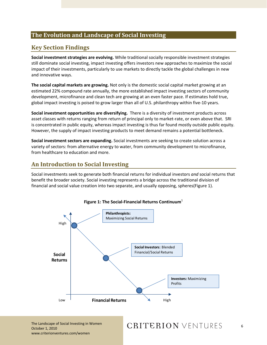### **The Evolution and Landscape of Social Investing**

## **Key Section Findings**

**Social investment strategies are evolving.** While traditional socially responsible investment strategies still dominate social investing, impact investing offers investors new approaches to maximize the social impact of their investments, particularly to use markets to directly tackle the global challenges in new and innovative ways.

**The social capital markets are growing.** Not only is the domestic social capital market growing at an estimated 22% compound rate annually, the more established impact investing sectors of community development, microfinance and clean tech are growing at an even faster pace. If estimates hold true, global impact investing is poised to grow larger than all of U.S. philanthropy within five-10 years.

**Social investment opportunities are diversifying.** There is a diversity of investment products across asset classes with returns ranging from return of principal only to market-rate, or even above that. SRI is concentrated in public equity, whereas impact investing is thus far found mostly outside public equity. However, the supply of impact investing products to meet demand remains a potential bottleneck.

**Social investment sectors are expanding.** Social investments are seeking to create solution across a variety of sectors: from alternative energy to water, from community development to microfinance, from healthcare to education and more.

### **An Introduction to Social Investing**

Social investments seek to generate both financial returns for individual investors *and* social returns that benefit the broader society. Social investing represents a bridge across the traditional division of financial and social value creation into two separate, and usually opposing, spheres(Figure 1).



**Figure** 1: The Social-Financial Returns Continuum<sup>1</sup>

## The Landscape of Social Investing in Women<br>  $\text{CBITEBION} \lor \text{ENTERS}$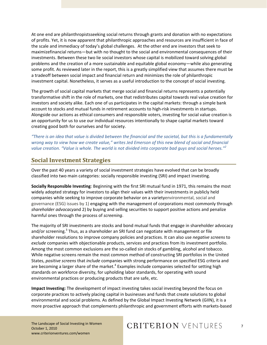At one end are philanthropistsseeking social returns through grants and donation with no expectations of profits. Yet, it is now apparent that philanthropic approaches and resources are insufficient in face of the scale and immediacy of today's global challenges. At the other end are investors that seek to maximizefinancial returns—but with no thought to the social and environmental consequences of their investments. Between these two lie social investors whose capital is mobilized toward solving global problems and the creation of a more sustainable and equitable global economy—while also generating some profit. As reviewed later in the report, this is a greatly simplified view that assumes there must be a tradeoff between social impact and financial return and minimizes the role of philanthropic investment capital. Nonetheless, it serves as a useful introduction to the concept of social investing.

The growth of social capital markets that merge social and financial returns represents a potentially transformative shift in the role of markets, one that redistributes capital towards real value creation for investors and society alike. Each one of us participates in the capital markets: through a simple bank account to stocks and mutual funds in retirement accounts to high-risk investments in startups. Alongside our actions as ethical consumers and responsible voters, investing for social value creation is an opportunity for us to use our individual resources intentionally to shape capital markets toward creating good both for ourselves and for society.

"There is an idea that value is divided between the financial and the societal, but this is a fundamentally wrong way to view how we create value," writes Jed Emerson of this new blend of social and financial value creation. "Value is whole. The world is not divided into corporate bad guys and social heroes."

### **Social Investment Strategies**

Over the past 40 years a variety of social investment strategies have evolved that can be broadly classified into two main categories: socially responsible investing (SRI) and impact investing.

**Socially Responsible Investing**: Beginning with the first SRI mutual fund in 1971, this remains the most widely adopted strategy for investors to align their values with their investments in publicly held companies while seeking to improve corporate behavior on a varietyenvironmental, social and governance (ESG) issues by 1) engaging with the management of corporations most commonly through *shareholder advocacy*and 2) by buying and selling securities to support positive actions and penalize harmful ones through the process of *screening*.

The majority of SRI investments are stocks and bond mutual funds that engage in shareholder advocacy and/or screening.<sup>3</sup> Thus, as a shareholder an SRI fund can negotiate with management or file shareholder resolutions to improve company policies and practices. It can also use *negative screens* to *exclude* companies with objectionable products, services and practices from its investment portfolio. Among the most common exclusions are the so-called sin stocks of gambling, alcohol and tobacco. While negative screens remain the most common method of constructing SRI portfolios in the United States, *positive screens* that *include* companies with strong performance on specified ESG criteria and are becoming a larger share of the market.<sup>4</sup> Examples include companies selected for setting high standards on workforce diversity, for upholding labor standards, for operating with sound environmental practices or producing products that are safe, etc.

**Impact Investing:** The development of impact investing takes social investing beyond the focus on corporate practices to actively placing capital in businesses and funds that create solutions to global environmental and social problems. As defined by the Global Impact Investing Network (GIIN), it is a more proactive approach that complements philanthropic and government efforts with markets-based

The Landscape of Social Investing in Women www.criterionventures.com/women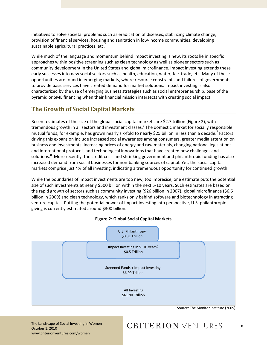initiatives to solve societal problems such as eradication of diseases, stabilizing climate change, provision of financial services, housing and sanitation in low-income communities, developing sustainable agricultural practices, etc.<sup>5</sup>

While much of the language and momentum behind impact investing is new, its roots lie in specific approaches within positive screening such as clean technology as well as pioneer sectors such as community development in the United States and global microfinance. Impact investing extends these early successes into new social sectors such as health, education, water, fair-trade, etc. Many of these opportunities are found in emerging markets, where resource constraints and failures of governments to provide basic services have created demand for market solutions. Impact investing is also characterized by the use of emerging business strategies such as social entrepreneurship, base of the pyramid or SME financing when their financial mission intersects with creating social impact.

### **The Growth of Social Capital Markets**

Recent estimates of the size of the global social capital markets are \$2.7 trillion (Figure 2), with tremendous growth in all sectors and investment classes.<sup>6</sup> The domestic market for socially responsible mutual funds, for example, has grown nearly six-fold to nearly \$25 billion in less than a decade.<sup>7</sup> Factors driving this expansion include increased social awareness among consumers, greater media attention on business and investments, increasing prices of energy and raw materials, changing national legislations and international protocols and technological innovations that have created new challenges and solutions.<sup>8</sup> More recently, the credit crisis and shrinking government and philanthropic funding has also increased demand from social businesses for non‐banking sources of capital. Yet, the social capital markets comprise just 4% of all investing, indicating a tremendous opportunity for continued growth.

While the boundaries of impact investments are too new, too imprecise, one estimate puts the potential size of such investments at nearly \$500 billion within the next 5-10 years. Such estimates are based on the rapid growth of sectors such as community investing (\$26 billion in 2007), global microfinance (\$6.6 billion in 2009) and clean technology, which ranks only behind software and biotechnology in attracting venture capital. Putting the potential power of impact investing into perspective, U.S. philanthropic giving is currently estimated around \$300 billion.

#### **Figure 2: Global Social Capital Markets**



Source: The Monitor Institute (2009)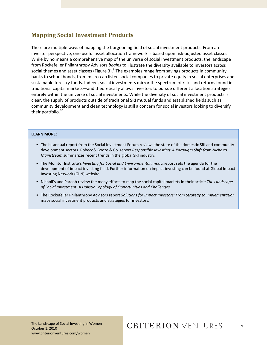## **Mapping Social Investment Products**

There are multiple ways of mapping the burgeoning field of social investment products. From an investor perspective, one useful asset allocation framework is based upon risk‐adjusted asset classes. While by no means a comprehensive map of the universe of social investment products, the landscape from Rockefeller Philanthropy Advisors *begins* to illustrate the diversity available to investors across social themes and asset classes (Figure 3). <sup>9</sup> The examples range from savings products in community banks to school bonds, from micro‐cap listed social companies to private equity in social enterprises and sustainable forestry funds. Indeed, social investments mirror the spectrum of risks and returns found in traditional capital markets—and theoretically allows investors to pursue different allocation strategies entirely within the universe of social investments. While the diversity of social investment products is clear, the supply of products outside of traditional SRI mutual funds and established fields such as community development and clean technology is still a concern for social investors looking to diversify their portfolio. $10$ 

#### **LEARN MORE:**

- The bi-annual report from the Social Investment Forum reviews the state of the domestic SRI and community development sectors. Robeco& Booze & Co. report *Responsible Investing: A Paradigm Shift from Niche to Mainstream* summarizes recent trends in the global SRI industry.
- The Monitor Institute's *Investing for Social and Environmental Impact*report sets the agenda for the development of impact investing field. Further information on impact investing can be found at Global Impact Investing Network (GIIN) website.
- Nicholl's and Paroah review the many efforts to map the social capital markets in their article *The Landscape of Social Investment: A Holistic Topology of Opportunities and Challenges*.
- The Rockefeller Philanthropy Advisors report *Solutions for Impact Investors: From Strategy to Implementation* maps social investment products and strategies for investors.

9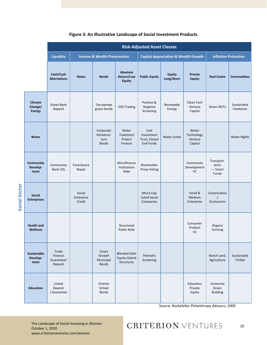|               |                                      | <b>Risk-Adjusted Asset Classes</b>        |                                         |                                                  |                                                    |                                                         |                             |                                           |                                                |                          |
|---------------|--------------------------------------|-------------------------------------------|-----------------------------------------|--------------------------------------------------|----------------------------------------------------|---------------------------------------------------------|-----------------------------|-------------------------------------------|------------------------------------------------|--------------------------|
|               |                                      | <b>Liquidity</b>                          | <b>Income &amp; Wealth Preservation</b> |                                                  |                                                    | <b>Capital Appreciation &amp; Wealth Growth</b>         |                             |                                           | <b>Inflation Protection</b>                    |                          |
|               |                                      | Cash/Cash<br><b>Alternatives</b>          | <b>Notes</b>                            | <b>Bonds</b>                                     | <b>Absolute</b><br>Return/Low<br><b>Equity</b>     | <b>Public Equity</b>                                    | <b>Equity</b><br>Long/Short | <b>Private</b><br><b>Equity</b>           | <b>Real Estate</b>                             | <b>Commodities</b>       |
| Social Sector | Climate<br>Change/<br><b>Energy</b>  | Green Bank<br>Deposit                     |                                         | Tax-exempt<br>green bonds                        | CO <sub>2</sub> Trading                            | Positive &<br>Negative<br>Screening                     | Renewable<br>Energy         | Clean Tech<br>Venture<br>Capital          | <b>Green REITs</b>                             | Sustainable<br>Feedstock |
|               | Water                                |                                           |                                         | Corporate<br>Infrastruc-<br>ture<br><b>Bonds</b> | Water<br>Treatment<br>Project<br>Finance           | Unit<br>Investment<br>Trust, Closed<br><b>End Funds</b> | <b>Water Funds</b>          | Water<br>Technology<br>Venture<br>Capital |                                                | <b>Water Rights</b>      |
|               | <b>Community</b><br>Develop-<br>ment | Community<br><b>Bank CDs</b>              | Foreclosure<br>Repair                   |                                                  | Microfinance<br>Institutions<br>Debt               | Shareholder<br><b>Proxy Voting</b>                      |                             | Community<br>Development<br>VC            | Transport-<br>ation<br>- Smart<br><b>Funds</b> |                          |
|               | <b>Social</b><br><b>Enterprises</b>  |                                           | Social<br>Enterprise<br>Credit          |                                                  |                                                    | Micro-Cap<br><b>Listed Social</b><br>Companies          |                             | Small &<br>Medium<br>Enterprise           | Conservation<br>Ecotourism                     |                          |
|               | <b>Health and</b><br><b>Wellness</b> |                                           |                                         |                                                  | Structured<br><b>Public Note</b>                   |                                                         |                             | Consumer<br>Product<br>VC                 | Organic<br>Farming                             |                          |
|               | Sustainable<br>Develop-<br>ment      | Trade<br>Finance<br>Guarantee/<br>Deposit |                                         | Smart<br>Growth<br>Municipal<br><b>Bonds</b>     | <b>Blended Debt</b><br>Equity Hybrid<br>Structures | Thematic<br>Screening                                   |                             |                                           | Ranch Land,<br>Agriculture                     | Sustainable<br>Timber    |
|               | <b>Education</b>                     | Linked<br>Deposit<br>/ Guarantee          |                                         | Charter<br>School<br><b>Bonds</b>                |                                                    |                                                         |                             | Education<br>Private<br>Equity            | University<br>Green<br><b>Building</b>         |                          |

Source: Rockefeller Philanthropy Advisors, 2009

The Landscape of Social Investing in Women www.criterionventures.com/women

## The Landscape of Social Investing in Women<br>  $\text{CBITEBION} \lor \text{ENTURES}$

Social Sector **Social Sector**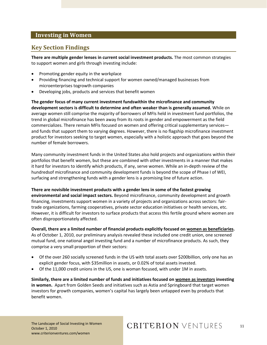### **Investing in Women**

## **Key Section Findings**

**There are multiple gender lenses in current social investment products.** The most common strategies to support women and girls through investing include:

- Promoting gender equity in the workplace
- Providing financing and technical support for women owned/managed businesses from microenterprises togrowth companies
- Developing jobs, products and services that benefit women

**The gender focus of many current investment fundswithin the microfinance and community development sectors is difficult to determine and often weaker than is generally assumed.** While on average women still comprise the majority of borrowers of MFIs held in investment fund portfolios, the trend in global microfinance has been away from its roots in gender and empowerment as the field commercializes. There remain MFIs focused on women and offering critical supplementary services and funds that support them to varying degrees. However, there is no flagship microfinance investment product for investors seeking to target women, especially with a holistic approach that goes beyond the number of female borrowers.

Many community investment funds in the United States also hold projects and organizations within their portfolios that benefit women, but these are combined with other investments in a manner that makes it hard for investors to identify which products, if any, serve women. While an in‐depth review of the hundredsof microfinance and community development funds is beyond the scope of Phase I of WEI, surfacing and strengthening funds with a gender lens is a promising line of future action.

**There are novisible investment products with a gender lens in some of the fastest growing environmental and social impact sectors.** Beyond microfinance, community development and growth financing, investments support women in a variety of projects and organizations across sectors: fair‐ trade organizations, farming cooperatives, private sector education initiatives or health services, etc. However, it is difficult for investors to surface products that access this fertile ground where women are often disproportionately affected.

**Overall, there are a limited number of financial products explicitly focused on women as beneficiaries.** As of October 1, 2010, our preliminary analysis revealed these included one credit union, one screened mutual fund, one national angel investing fund and a number of microfinance products. As such, they comprise a very small proportion of their sectors:

- Of the over 260 socially screened funds in the US with total assets over \$200billion, only one has an explicit gender focus, with \$35million in assets, or 0.02% of total assets invested.
- Of the 11,000 credit unions in the US, one is woman focused, with under 1M in assets.

**Similarly, there are a limited number of funds and initiatives focused on women as investors investing in women.** Apart from Golden Seeds and initiatives such as Astia and Springboard that target women investors for growth companies, women's capital has largely been untapped even by products that benefit women.

11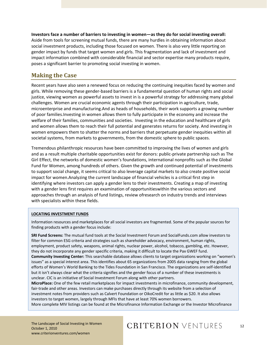**Investors face a number of barriers to investing in women—as they do for social investing overall:** Aside from tools for screening mutual funds, there are many hurdles in obtaining information about social investment products, including those focused on women. There is also very little reporting on gender impact by funds that target women and girls. This fragmentation and lack of investment and impact information combined with considerable financial and sector expertise many products require, poses a significant barrier to promoting social investing in women.

## **Making the Case**

Recent years have also seen a renewed focus on reducing the continuing inequities faced by women and girls. While removing these gender‐based barriers is a fundamental question of human rights and social justice, viewing women as powerful assets to invest in is a powerful strategy for addressing many global challenges. Women are crucial economic agents through their participation in agriculture, trade, microenterprise and manufacturing.And as heads of households, their work supports a growing number of poor families.Investing in women allows them to fully participate in the economy and increase the welfare of their families, communities and societies. Investing in the education and healthcare of girls and women allows them to reach their full potential and generates returns for society. And investing in women empowers them to shatter the norms and barriers that perpetuate gender inequities within all societal systems, from markets to governments, from the domestic sphere to public spaces.

Tremendous philanthropic resources have been committed to improving the lives of women and girls and as a result multiple charitable opportunities exist for donors: public‐private partnership such as The Girl Effect, the networks of domestic women's foundations, international nonprofits such as the Global Fund for Women, among hundreds of others. Given the growth and continued potential of investments to support social change, it seems critical to also leverage capital markets to also create positive social impact for women.Analyzing the current landscape of financial vehicles is a critical first step in identifying where investors can apply a gender lens to their investments. Creating a map of investing with a gender lens first requires an examination of opportunitieswithin the various sectors and approaches through an analysis of fund listings, review ofresearch on industry trends and interviews with specialists within these fields.

#### **LOCATING INVESTMENT FUNDS**

Information resources and marketplaces for all social investors are fragmented. Some of the popular sources for finding products with a gender focus include:

**SRI Fund Screens:** The mutual fund tools at the Social Investment Forum and SocialFunds.com allow investors to filter for common ESG criteria and strategies such as shareholder advocacy, environment, human rights, employment, product safety, weapons, animal rights, nuclear power, alcohol, tobacco, gambling, etc. However, they do not incorporate any gender specific criteria, making it difficult to locate the Pax GWEF fund. **Community Investing Center:** This searchable database allows clients to target organizations working on "women's issues" as a special interest area. This identifies about 65 organizations from 2005 data ranging from the global efforts of Women's World Banking to the Tides Foundation in San Francisco. The organizations are self‐identified but it isn't always clear what the criteria signifies and the gender focus of a number of these investments is unclear. CIC is an initiative of Social Investment Forum along with other partners.

**MicroPlace:** One of the few retail marketplaces for impact investments in microfinance, community development, fair‐trade and other areas. Investors can make purchases directly through its website from a selection of investment notes from providers such as Calvert Foundation or OikoCredit for as little as \$20. It also allows investors to target women, largely through MFIs that have at least 70% women borrowers. More complete MIV listings can be found at the Microfinance Information Exchange or the Investor Microfinance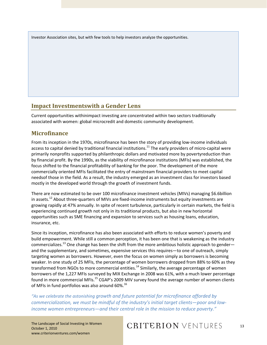Investor Association sites, but with few tools to help investors analyze the opportunities.

## **Impact Investmentswith a Gender Lens**

Current opportunities withinimpact investing are concentrated within two sectors traditionally associated with women: global microcredit and domestic community development.

## **Microfinance**

From its inception in the 1970s, microfinance has been the story of providing low-income individuals access to capital denied by traditional financial institutions.<sup>11</sup> The early providers of micro-capital were primarily nonprofits supported by philanthropic dollars and motivated more by povertyreduction than by financial profit. By the 1990s, as the viability of microfinance institutions (MFIs) was established, the focus shifted to the financial profitability of banking for the poor. The development of the more commercially oriented MFIs facilitated the entry of mainstream financial providers to meet capital needsof those in the field. As a result, the industry emerged as an investment class for investors based mostly in the developed world through the growth of investment funds.

There are now estimated to be over 100 microfinance investment vehicles (MIVs) managing \$6.6billion in assets.<sup>12</sup> About three-quarters of MIVs are fixed-income instruments but equity investments are growing rapidly at 47% annually. In spite of recent turbulence, particularly in certain markets, the field is experiencing continued growth not only in its traditional products, but also in new horizontal opportunities such as SME financing and expansion to services such as housing loans, education, insurance, etc.

Since its inception, microfinance has also been associated with efforts to reduce women's poverty and build empowerment. While still a common perception, it has been one that is weakening as the industry commercializes.<sup>13</sup> One change has been the shift from the more ambitious holistic approach to genderand the supplementary, and sometimes, expensive services this requires—to one of outreach, simply targeting women as borrowers. However, even the focus on women simply as borrowers is becoming weaker. In one study of 25 MFIs, the percentage of women borrowers dropped from 88% to 60% as they transformed from NGOs to more commercial entities.<sup>14</sup> Similarly, the average percentage of women borrowers of the 1,227 MFIs surveyed by MIX Exchange in 2008 was 61%, with a much lower percentage found in more commercial MFIs.<sup>15</sup> CGAP's 2009 MIV survey found the average number of women clients of MFIs in fund portfolios was also around 60%.<sup>16</sup>

*"As we celebrate the astonishing growth and future potential for microfinance afforded by commercialization, we must be mindful of the industry's initial target clients—poor and low‐ income women entrepreneurs—and their central role in the mission to reduce poverty."*

The Landscape of Social Investing in Women www.criterionventures.com/women

## The Landscape of Social Investing in Women<br>  $\text{CBITEBION} \lor \text{ENTERS}$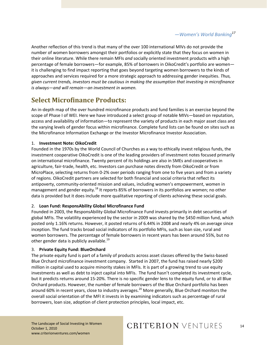Another reflection of this trend is that many of the over 100 international MIVs do not provide the number of women borrowers amongst their portfolios or explicitly state that they focus on women in their online literature. While there remain MFIs *and* socially oriented investment products with a high percentage of female borrowers—for example, 85% of borrowers in OikoCredit's portfolio are women it is challenging to find impact reporting that goes beyond targeting women borrowers to the kinds of approaches and services required for a more strategic approach to addressing gender inequities. *Thus, given current trends, investors must be cautious in making the assumption that investing in microfinance is always—and will remain—an investment in women.*

## **Select Microfinance Products:**

An in‐depth map of the over hundred microfinance products and fund families is an exercise beyond the scope of Phase I of WEI. Here we have introduced a select group of notable MIVs—based on reputation, access and availability of information—to represent the variety of products in each major asset class and the varying levels of gender focus within microfinance. Complete fund lists can be found on sites such as the Microfinance Information Exchange or the Investor Microfinance Investor Association.

#### 1. **Investment Note: OikoCredit**

Founded in the 1970s by the World Council of Churches as a way to ethically invest religious funds, the investment cooperative OikoCredit is one of the leading providers of investment notes focused primarily on international microfinance. Twenty percent of its holdings are also in SMEs and cooperatives in agriculture, fair‐trade, health, etc. Investors can purchase notes directly from OikoCredit or from MicroPlace, selecting returns from 0‐2% over periods ranging from one to five years and from a variety of regions. OikoCredit partners are selected for both financial and social criteria that reflect its antipoverty, community‐oriented mission and values, including women's empowerment, women in management and gender equity.<sup>18</sup> It reports 85% of borrowers in its portfolios are women; no other data is provided but it does include more qualitative reporting of clients achieving these social goals.

#### 2. **Loan Fund: ResponsAbility Global Microfinance Fund**

Founded in 2003, the ResponsAbility Global Microfinance Fund invests primarily in debt securities of global MFIs. The volatility experienced by the sector in 2009 was shared by the \$450 million fund, which posted only 1.16% returns. However, it posted returns of 6.44% in 2008 and nearly 4% on average since inception. The fund tracks broad social indicators of its portfolio MFIs, such as loan size, rural and women borrowers. The percentage of female borrowers in recent years has been around 55%, but no other gender data is publicly available.<sup>19</sup>

#### 3. **Private Equity Fund: BlueOrchard**

The private equity fund is part of a family of products across asset classes offered by the Swiss‐based Blue Orchard microfinance investment company. Started in 2007, the fund has raised nearly \$200 million in capital used to acquire minority stakes in MFIs. It is part of a growing trend to use equity investments as well as debt to inject capital into MFIs. The fund hasn't completed its investment cycle, but it predicts returns around 15‐20%. There is no specific gender lens to the equity fund, or to all Blue Orchard products. However, the number of female borrowers of the Blue Orchard portfolio has been around 60% in recent years, close to industry averages.<sup>20</sup> More generally, Blue Orchard monitors the overall social orientation of the MFI it invests in by examining indicators such as percentage of rural borrowers, loan size, adoption of client protection principles, local impact, etc.

The Landscape of Social Investing in Women www.criterionventures.com/women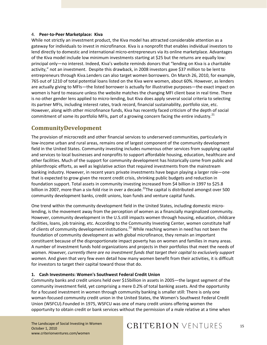#### 4. **Peer‐to‐Peer Marketplace: Kiva**

While not strictly an investment product, the Kiva model has attracted considerable attention as a gateway for individuals to invest in microfinance. Kiva is a nonprofit that enables individual investors to lend directly to domestic and international micro‐entrepreneurs via its online marketplace. Advantages of the Kiva model include low minimum investments starting at \$25 but the returns are equally low: principal only—no interest. Indeed, Kiva's website reminds donors that "lending on Kiva is a charitable activity," not an investment. Despite this drawback, in 2008 investors gave \$37 million to be lent to entrepreneurs through Kiva.Lenders can also target women borrowers. On March 26, 2010, for example, 765 out of 1210 of total potential loans listed on the Kiva were women, about 60%. However, as lenders are actually giving to MFIs—the listed borrower is actually for illustrative purposes—the exact impact on women is hard to measure unless the website matches the changing MFI client base in real time. There is no other gender lens applied to micro‐lending, but Kiva does apply several social criteria to selecting its partner MFIs, including interest rates, track record, financial sustainability, portfolio size, etc. However, along with other microfinance funds, Kiva has recently faced criticism of the depth of social commitment of some its portfolio MFIs, part of a growing concern facing the entire industry.<sup>21</sup>

## **CommunityDevelopment**

The provision of microcredit and other financial services to underserved communities, particularly in low-income urban and rural areas, remains one of largest component of the community development field in the United States. Community investing includes numerous other services from supplying capital and services to local businesses and nonprofits to support affordable housing, education, healthcare and other facilities. Much of the support for community development has historically come from public and philanthropic efforts, as well as legislative action that required investments from the mainstream banking industry. However, in recent years private investments have begun playing a larger role—one that is expected to grow given the recent credit crisis, shrinking public budgets and reduction in foundation support. Total assets in community investing increased from \$4 billion in 1997 to \$25.8 billion in 2007, more than a six-fold rise in over a decade.<sup>22</sup>The capital is distributed amongst over 500 community development banks, credit unions, loan funds and venture capital funds.

One trend within the community development field in the United States, including domestic micro‐ lending, is the movement away from the perception of women as a financially marginalized community. However, community development in the U.S.still impacts women through housing, education, childcare facilities, loans, job training, etc. According to the Community Investing Center, women constitute half of clients of community development institutions.<sup>23</sup> While reaching women in need has not been the foundation of community development as with global microfinance, they remain an important constituent because of the disproportionate impact poverty has on women and families in many areas. A number of investment funds hold organizations and projects in their portfolios that meet the needs of women. *However, currently there are no investment funds that target their capital to exclusively support women.* And given that very few even detail how many women benefit from their activities, it is difficult for investors to target their capital toward those that do.

#### **1. Cash Investments: Women's Southwest Federal Credit Union**

Community banks and credit unions held over \$15billion in assets in 2005—the largest segment of the community investment field, yet comprising a mere 0.2% of total banking assets. And the opportunity for a focused investment in women through community banking is smaller still: There is only one woman‐focused community credit union in the United States, the Women's Southwest Federal Credit Union (WSFCU).Founded in 1975, WSFCU was one of many credit unions offering women the opportunity to obtain credit or bank services without the permission of a male relative at a time when

The Landscape of Social Investing in Women www.criterionventures.com/women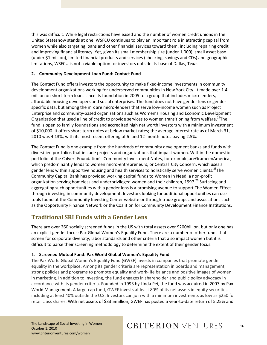this was difficult. While legal restrictions have eased and the number of women credit unions in the United Statesnow stands at one, WSFCU continues to play an important role in attracting capital from women while also targeting loans and other financial services toward them, including repairing credit and improving financial literacy. Yet, given its small membership size (under 1,000), small asset base (under \$1 million), limited financial products and services (checking, savings and CDs) and geographic limitations, WSFCU is not a viable option for investors outside its base of Dallas, Texas.

#### **2. Community Development Loan Fund: Contact Fund**

The Contact Fund offers investors the opportunity to make fixed-income investments in community development organizations working for underserved communities in New York City. It made over 1.4 million on short-term loans since its foundation in 2005 to a group that includes micro-lenders, affordable housing developers and social enterprises. The fund does not have gender lens or gender‐ specific data, but among the mix are micro-lenders that serve low-income women such as Project Enterprise and community‐based organizations such as Women's Housing and Economic Development Organization that used a line of credit to provide services to women transitioning from welfare.<sup>24</sup>The fund is open to family foundations and accredited high net worth investors with a minimum investment of \$10,000. It offers short‐term notes at below market rates; the average interest rate as of March 31, 2010 was 4.13%, with its most recent offering of 6‐ and 12‐month notes paying 2.5%.

The Contact Fund is one example from the hundreds of community development banks and funds with diversified portfolios that include projects and organizations that impact women. Within the domestic portfolio of the Calvert Foundation's Community Investment Notes, for example,areGrameenAmerica , which predominantly lends to women micro-entrepreneurs, or Central City Concern, which uses a gender lens within supportive housing and health services to holistically serve women clients.<sup>25</sup>The Community Capital Bank has provided working capital funds to Women In Need, a non‐profit organization serving homeless and underprivileged women and their children, 1997.<sup>26</sup> Surfacing and aggregating such opportunities with a gender lens is a promising avenue to support The Women Effect through investing in community development. Investors looking for additional opportunities can use tools found at the Community Investing Center website or through trade groups and associations such as the Opportunity Finance Network or the Coalition for Community Development Finance Institutions.

## **Traditional SRI Funds with a Gender Lens**

There are over 260 socially screened funds in the US with total assets over \$200billion, but only one has an explicit gender focus: Pax Global Women's Equality Fund. There are a number of other funds that screen for corporate diversity, labor standards and other criteria that also impact women but it is difficult to parse their screening methodology to determine the extent of their gender focus.

#### 1. **Screened Mutual Fund: Pax World Global Women's Equality Fund**

The Pax World Global Women's Equality Fund (GWEF) invests in companies that promote gender equality in the workplace. Among its gender criteria are representation in boards and management, strong policies and programs to promote equality and work‐life balance and positive images of women in marketing. In addition to investing, the fund engages in shareholder and public policy advocacy in accordance with its gender criteria. Founded in 1993 by Linda Pei, the fund was acquired in 2007 by Pax World Management. A large-cap fund, GWEF invests at least 80% of its net assets in equity securities, including at least 40% outside the U.S. Investors can join with a minimum investments as low as \$250 for retail class shares. With net assets of \$33.5million, GWEF has posted a year‐to‐date return of 5.25% and

The Landscape of Social Investing in Women www.criterionventures.com/women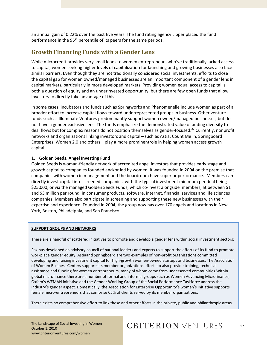an annual gain of 0.22% over the past five years. The fund rating agency Lipper placed the fund performance in the 95<sup>th</sup> percentile of its peers for the same periods.

## **Growth Financing Funds with a Gender Lens**

While microcredit provides very small loans to women entrepreneurs who've traditionally lacked access to capital, women seeking higher levels of capitalization for launching and growing businesses also face similar barriers. Even though they are not traditionally considered social investments, efforts to close the capital gap for women owned/managed businesses are an important component of a gender lens in capital markets, particularly in more developed markets. Providing women equal access to capital is both a question of equity and an underinvested opportunity, but there are few open funds that allow investors to directly take advantage of this.

In some cases, incubators and funds such as Springworks and Phenomenelle include women as part of a broader effort to increase capital flows toward underrepresented groups in business. Other venture funds such as Illuminate Ventures predominantly support women owned/managed businesses, but do not have a gender exclusive lens. The funds emphasize the demonstrated value of adding diversity to deal flows but for complex reasons do not position themselves as gender-focused.<sup>27</sup> Currently, nonprofit networks and organizations linking investors and capital—such as Astia, Count Me In, Springboard Enterprises, Women 2.0 and others—play a more prominentrole in helping women access growth capital.

#### **1. Golden Seeds, Angel Investing Fund**

Golden Seeds is woman‐friendly network of accredited angel investors that provides early stage and growth capital to companies founded and/or led by women. It was founded in 2004 on the premise that companies with women in management and the boardroom have superior performance. Members can directly invest capital into screened companies, with the typical investment minimum per deal being \$25,000, or via the managed Golden Seeds Funds, which co-invest alongside members, at between \$1 and \$3 million per round, in consumer products, software, internet, financial services and life sciences companies. Members also participate in screening and supporting these new businesses with their expertise and experience. Founded in 2004, the group now has over 170 angels and locations in New York, Boston, Philadelphia, and San Francisco.

#### **SUPPORT GROUPS AND NETWORKS**

There are a handful of scattered initiatives to promote and develop a gender lens within social investment sectors:

Pax has developed an advisory council of national leaders and experts to support the efforts of its fund to promote workplace gender equity. Astiaand Springboard are two examples of non‐profit organizations committed developing and raising investment capital for high‐growth women‐owned startups and businesses. The Association of Women Business Centers supports its member organizations efforts to also provide training, technical assistance and funding for women entrepreneurs, many of whom come from underserved communities.Within global microfinance there are a number of formal and informal groups such as Women Advancing Microfinance, Oxfam's WEMAN initiative and the Gender Working Group of the Social Performance Taskforce address the industry's gender aspect. Domestically, the Association for Enterprise Opportunity's women's initiative supports female micro-entrepreneurs that comprise 65% of clients served by its member organizations.

There exists no comprehensive effort to link these and other efforts in the private, public and philanthropic areas.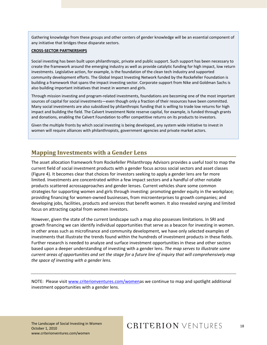Gathering knowledge from these groups and other centers of gender knowledge will be an essential component of any initiative that bridges these disparate sectors.

#### **CROSS‐SECTOR PARTNERSHIPS**

Social investing has been built upon philanthropic, private and public support. Such support has been necessary to create the framework around the emerging industry as well as provide catalytic funding for high impact, low return investments. Legislative action, for example, is the foundation of the clean tech industry and supported community development efforts. The Global Impact Investing Network funded by the Rockefeller Foundation is building a framework that spans the impact investing sector. Corporate support from Nike and Goldman Sachs is also building important initiatives that invest in women and girls.

Through mission investing and program‐related investments, foundations are becoming one of the most important sources of capital for social investments—even though only a fraction of their resources have been committed. Many social investments are also subsidized by philanthropic funding that is willing to trade low returns for high impact and building the field. The Calvert Investment Note reserve capital, for example, is funded through grants and donations, enabling the Calvert Foundation to offer competitive returns on its products to investors.

Given the multiple fronts by which social investing is being developed, any system wide initiative to invest in women will require alliances with philanthropists, government agencies and private market actors.

## **Mapping Investments with a Gender Lens**

The asset allocation framework from Rockefeller Philanthropy Advisors provides a useful tool to map the current field of social investment products with a gender focus across social sectors and asset classes (Figure 4). It becomes clear that choices for investors seeking to apply a gender lens are far more limited. Investments are concentrated within a few impact sectors and a handful of other notable products scattered acrossapproaches and gender lenses. Current vehicles share some common strategies for supporting women and girls through investing: promoting gender equity in the workplace; providing financing for women‐owned businesses, from microenterprises to growth companies; and developing jobs, facilities, products and services that benefit women. It also revealed varying and limited focus on attracting capital from women investors.

However, given the state of the current landscape such a map also possesses limitations. In SRI and growth financing we can identify individual opportunities that serve as a beacon for investing in women. In other areas such as microfinance and community development, we have only selected examples of investments that illustrate the trends found within the hundreds of investment products in these fields. Further research is needed to analyze and surface investment opportunities in these and other sectors based upon a deeper understanding of investing with a gender lens. *The map serves to illustrate some* current areas of opportunities and set the stage for a future line of inquiry that will comprehensively map *the space of investing with a gender lens.*

NOTE: Please visit www.criterionventures.com/womenas we continue to map and spotlight additional investment opportunities with a gender lens.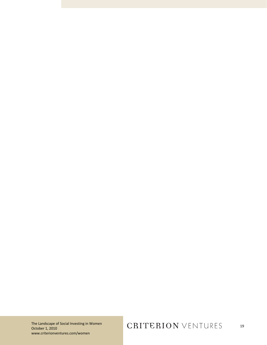The Landscape of Social Investing in Women www.criterionventures.com/women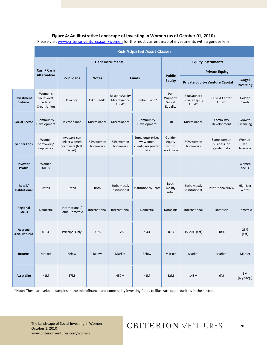#### **Figure 4: An Illustrative Landscape of Investing in Women (as of October 01, 2010)**

Please visit www.criterionventures.com/women for the most current map of investments with a gender lens

|                          | <b>Risk Adjusted Asset Classes</b>                     |                                                            |                              |                                         |                                                            |                                         |                                               |                                           |                           |  |
|--------------------------|--------------------------------------------------------|------------------------------------------------------------|------------------------------|-----------------------------------------|------------------------------------------------------------|-----------------------------------------|-----------------------------------------------|-------------------------------------------|---------------------------|--|
|                          | <b>Debt Instruments</b><br><b>Equity Instruments</b>   |                                                            |                              |                                         |                                                            |                                         |                                               |                                           |                           |  |
|                          | Cash/Cash<br><b>Alternative</b>                        |                                                            |                              |                                         |                                                            | <b>Public</b>                           | <b>Private Equity</b>                         |                                           |                           |  |
|                          |                                                        | <b>P2P Loans</b>                                           | <b>Funds</b><br><b>Notes</b> |                                         | <b>Equity</b>                                              | <b>Private Equity/Venture Capital</b>   |                                               | Angel<br><b>Investing</b>                 |                           |  |
| Investment<br>Vehicle    | Women's<br>Southwest<br>Federal<br><b>Credit Union</b> | Kiva.org                                                   | OikoCredit*                  | ResponsAbility<br>Microfinance<br>Fund* | Contact Fund*                                              | Pax<br>Women's<br>World<br>Equality     | <b>BlueOrchard</b><br>Private Equity<br>Fund* | <b>CDVCA Center</b><br>Fund*              | Golden<br>Seeds           |  |
| <b>Social Sector</b>     | Community<br>Development                               | Microfinance                                               | Microfinance                 | Microfinance                            | Community<br>Development                                   | SRI                                     | Microfinance                                  | Community<br>Development                  | Growth<br>Financing       |  |
| <b>Gender Lens</b>       | Women<br>borrowers/<br>depositors                      | Investors can<br>select women<br>borrowers (60%<br>listed) | 85% women<br>borrowers       | 55% women<br>borrowers                  | Some enterprises<br>w/ women<br>clients, no gender<br>data | Gender<br>equity<br>within<br>workplace | 60% women<br>borrowers                        | Some women<br>business, no<br>gender data | Women-<br>led<br>business |  |
| Investor<br>Profile      | Women<br>focus                                         |                                                            |                              |                                         |                                                            |                                         |                                               |                                           | Women<br>focus            |  |
| Retail/<br>Institutional | Retail                                                 | Retail                                                     | <b>Both</b>                  | Both, mostly<br>institutional           | Institutional/HNW                                          | Both,<br>mostly<br>retail               | Both, mostly<br>institutional                 | Institutional/HNW                         | High Net<br>Worth         |  |
| Regional<br><b>Focus</b> | Domestic                                               | International/<br>Some Domestic                            | International                | International                           | Domestic                                                   | Domestic                                | International                                 | Domestic                                  | Domestic                  |  |
| Average<br>Ann. Returns  | $0 - 1%$                                               | <b>Principal Only</b>                                      | $0 - 3%$                     | $1 - 7%$                                | $2 - 4%$                                                   | $-0.54$                                 | 15-20% (est)                                  | 18%                                       | 25%<br>(est)              |  |
| <b>Returns</b>           | Market                                                 | Below                                                      | Below                        | Market                                  | Below                                                      | Market                                  | Market                                        | Market                                    | Market                    |  |
| <b>Asset Size</b>        | >1M                                                    | 37M                                                        |                              | 450M                                    | >1M                                                        | 32M                                     | 148M                                          | 6M                                        | 3M<br>$(6-yr$ avg.)       |  |

\*Note: These are select examples in the microfinance and community investing fields to illustrate opportunities in the sector.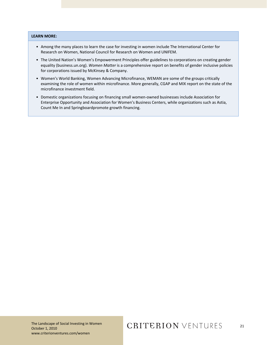#### **LEARN MORE:**

- Among the many places to learn the case for investing in women include The International Center for Research on Women, National Council for Research on Women and UNIFEM.
- The United Nation's Women's Empowerment Principles offer guidelines to corporations on creating gender equality (business.un.org). *Women Matter* is a comprehensive report on benefits of gender inclusive policies for corporations issued by McKinsey & Company.
- Women's World Banking, Women Advancing Microfinance, WEMAN are some of the groups critically examining the role of women within microfinance. More generally, CGAP and MIX report on the state of the microfinance investment field.
- Domestic organizations focusing on financing small women‐owned businesses include Association for Enterprise Opportunity and Association for Women's Business Centers, while organizations such as Astia, Count Me In and Springboardpromote growth financing.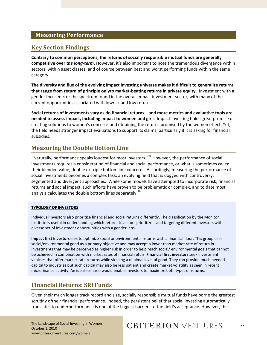#### **Measuring Performance**

### **Key Section Findings**

**Contrary to common perceptions, the returns of socially responsible mutual funds are generally competitive over** *the long‐term***.** However, it's also important to note the tremendous divergence within sectors, within asset classes, and of course between best and worst performing funds within the same category.

**The diversity and flux of the evolving impact investing universe makes it difficult to generalize returns that range from return of principle onlyto market‐beating returns in private equity.** Investment with a gender focus mirror the spectrum found in the overall impact investment sector, with many of the current opportunities associated with lowrisk and low returns.

**Social returns of investments vary as do financial returns—and more metrics and evaluative tools are needed to assess impact, including impact to women and girls**. Impact investing holds great promise of creating solutions to women's concerns and obtaining the returns promised by the women effect. Yet, the field needs stronger impact evaluations to support its claims, particularly if it is asking for financial subsidies.

### **Measuring the Double Bottom Line**

"Naturally, performance speaks loudest for most investors."<sup>28</sup> However, the performance of social investments requires a consideration of financial and social performance, or what is sometimes called their blended value, double or triple bottom line concerns. Accordingly, measuring the performance of social investments becomes a complex task, an evolving field that is dogged with controversy, segmented and divergent approaches. While some models have attempted to incorporate risk, financial returns and social impact, such efforts have proven to be problematic or complex, and to date most analysis calculates the double bottom lines separately.<sup>29</sup>

#### **TYPOLOGY OF INVESTORS**

Individual investors also prioritize financial and social returns differently. The classification by the Monitor Institute is useful in understanding which returns investors prioritize—and targeting different investors with a diverse set of investment opportunities with a gender lens.

**Impact first investors**seek to optimize social or environmental returns with a financial floor. This group uses social/environmental good as a primary objective and may accept a lower than market rate of return in investments that may be perceived as higher risk in order to help reach social/ environmental goals that cannot be achieved in combination with market rates of financial return.**Financial first investors** seek investment vehicles that offer market-rate returns while yielding a minimal level of good. They can provide much needed capital to industries but such capital may also be less patient and create market volatility as seen in recent microfinance activity. An ideal scenario would enable investors to maximize both types of returns.

## **Financial Returns: SRI Funds**

Given their much longer track record and size, socially responsible mutual funds have borne the greatest scrutiny oftheir financial performance. Indeed, the persistent belief that social investing automatically translates to underperformance is one of the biggest barriers to the field's acceptance. However, the

The Landscape of Social Investing in Women www.criterionventures.com/women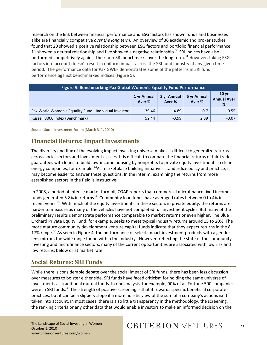research on the link between financial performance and ESG factors has shown funds and businesses alike are financially competitive *over the long term*. An overview of 36 academic and broker studies found that 20 showed a positive relationship between ESG factors and portfolio financial performance, 11 showed a neutral relationship and five showed a negative relationship.<sup>30</sup> SRI indices have also performed competitively against their non-SRI benchmarks over the long term.<sup>31</sup> However, taking ESG factors into account doesn't result in uniform impact across the SRI fund industry at any given time period. The performance data for Pax GWEF demonstrates some of the patterns in SRI fund performance against benchmarked indices (Figure 5).

| Figure 5: Benchmarking Pax Global Women's Equality Fund Performance |                       |                       |                       |                                             |  |  |  |
|---------------------------------------------------------------------|-----------------------|-----------------------|-----------------------|---------------------------------------------|--|--|--|
|                                                                     | 1 yr Annual<br>Aver % | 3 yr Annual<br>Aver % | 5 yr Annual<br>Aver % | 10 <sub>vr</sub><br><b>Annual Aver</b><br>% |  |  |  |
| Pax World Women's Equality Fund - Individual Investor               | 39.46                 | $-4.89$               | $-0.7$                | 0.55                                        |  |  |  |
| Russell 3000 Index (Benchmark)                                      | 52.44                 | $-3.99$               | 2.39                  | $-0.07$                                     |  |  |  |

Source: Social Investment Forum (March 31st, 2010)

### **Financial Returns: Impact Investments**

The diversity and flux of the evolving impact investing universe makes it difficult to generalize returns across social sectors and investment classes. It is difficult to compare the financial returns of fair‐trade guarantees with loans to build low‐income housing by nonprofits to private equity investments in clean energy companies, for example.<sup>32</sup>As marketplace building initiatives standardize policy and practice, it may become easier to answer these questions. In the interim, examining the returns from more established sectors in the field is instructive.

In 2008, a period of intense market turmoil, CGAP reports that commercial microfinance fixed income funds generated 5.8% in returns.<sup>33</sup> Community loan funds have averaged rates between 0 to 4% in recent years.<sup>34</sup> With much of the equity investments in these sectors in private equity, the returns are harder to measure as many of the vehicles have not completed full investment cycles. But many of the preliminary results demonstrate performance comparable to market returns or even higher. The Blue Orchard Private Equity Fund, for example, seeks to meet typical industry returns around 15 to 20%. The more mature community development venture capital funds indicate that they expect returns in the 8– 17% range.<sup>35</sup> As seen in Figure 4, the performance of select impact investment products with a gender lens mirrors the wide range found within the industry. However, reflecting the state of the community investing and microfinance sectors, many of the current opportunities are associated with low risk and low returns, below or at market rate.

### **Social Returns: SRI Funds**

While there is considerable debate over the social impact of SRI funds, there has been less discussion over measures to bolster either side. SRI funds have faced criticism for holding the same universe of investments as traditional mutual funds. In one analysis, for example, 90% of all Fortune 500 companies were in SRI funds.<sup>36</sup> The strength of positive screening is that it rewards specific beneficial corporate practices, but it can be a slippery slope if a more holistic view of the sum of a company's actions isn't taken into account. In most cases, there is also little transparency in the methodology, the screening, the ranking criteria or any other data that would enable investors to make an informed decision on the

The Landscape of Social Investing in Women www.criterionventures.com/women

## The Landscape of Social Investing in Women<br>  $\text{CBITEBION} \lor \text{ENTERS}$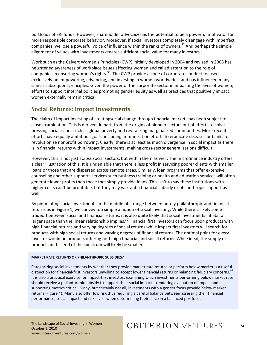portfolios of SRI funds. However, shareholder advocacy has the potential to be a powerful motivator for more responsible corporate behavior. Moreover, if social investors completely disengage with imperfect companies, we lose a powerful voice of influence within the ranks of owners.<sup>37</sup> And perhaps the simple alignment of values with investments creates sufficient social value for many investors.

Work such as the Calvert Women's Principles (CWP) initially developed in 2004 and revised in 2008 has heightened awareness of workplace issues affecting women and called attention to the role of companies in ensuring women's rights.<sup>38</sup> The CWP provide a code of corporate conduct focused exclusively on empowering, advancing, and investing in women worldwide—and has influenced many similar subsequent principles. Given the power of the corporate sector in impacting the lives of women, efforts to support internal policies promoting gender equity as well as practices that positively impact women externally remain critical.

## **Social Returns: Impact Investments**

The claim of impact investing of creatingsocial change through financial markets has been subject to close examination. This is derived, in part, from the origins of pioneer sectors out of efforts to solve pressing social issues such as global poverty and revitalizing marginalized communities. More recent efforts have equally ambitious goals, including immunization efforts to eradicate diseases or banks to revolutionize nonprofit borrowing. Clearly, there is at least as much divergence in social impact as there is in financial returns within impact investments, making cross-sector generalizations difficult.

However, this is not just across social sectors, but within them as well. The microfinance industry offers a clear illustration of this. It is undeniable that there is less profit in servicing poorer clients with smaller loans or those that are dispersed across remote areas. Similarly, loan programs that offer extensive counseling and other supports services such business training or health and education services will often generate lower profits than those that simply provide loans. This isn't to say these institutions with higher costs can't be profitable, but they may warrant a financial subsidy or philanthropic support as well.

By pinpointing social investments in the middle of a range between purely philanthropic and financial returns as in Figure 1, we convey too simple a notion of social investing. While there is likely some tradeoff between social and financial returns, it is also quite likely that social investments inhabit a larger space than the linear relationship implies.<sup>39</sup> Financial first investors can focus upon products with high financial returns and varying degrees of social returns while impact first investors will search for products with high social returns and varying degrees of financial returns. The optimal point for every investor would be products offering both high financial and social returns. While ideal, the supply of products in this end of the spectrum will likely be smaller.

#### **MARKET RATE RETURNS OR PHILANTHROPIC SUBSIDIES?**

Categorizing social investments by whether they provide market rate returns or perform below market is a useful distinction for financial-first investors unwilling to accept lower financial returns or balancing fiduciary concerns.<sup>40</sup> It is also a practical exercise for impact-first investors examining which investments performing below market rate should receive a philanthropic subsidy to support their social impact—rendering evaluation of impact and supporting metrics critical. Many, but certainly not all, investments with a gender focus provide below market returns (Figure 4). Many also offer low risk thus requiring a careful balance between assessing their financial performance, social impact and risk levels when determining their place in a balanced portfolio.

The Landscape of Social Investing in Women www.criterionventures.com/women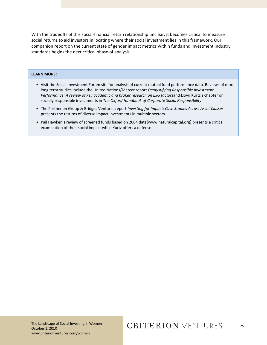With the tradeoffs of this social‐financial return relationship unclear, it becomes critical to measure social returns to aid investors in locating where their social investment lies in this framework. Our companion report on the current state of gender impact metrics within funds and investment industry standards begins the next critical phase of analysis.

#### **LEARN MORE:**

- Visit the Social Investment Forum site for analysis of current mutual fund performance data. Reviews of more long term studies include the United Nations/Mercer report *Demystifying Responsible Investment Performance: A review of key academic and broker research on ESG factors*and Lloyd Kurtz's chapter on socially responsible investments in *The Oxford Handbook of Corporate Social Responsibility*.
- The Parthenon Group & Bridges Ventures report *Investing for Impact: Case Studies Across Asset Classes* presents the returns of diverse impact investments in multiple sectors.
- Pail Hawken's review of screened funds based on 2004 data(www.naturalcapital.org) presents a critical examination of their social impact while Kurtz offers a defense.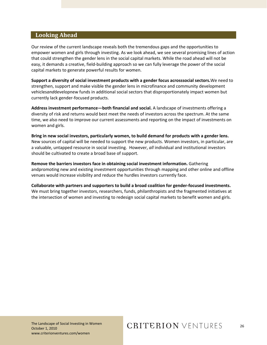#### **Looking Ahead**

Our review of the current landscape reveals both the tremendous gaps and the opportunities to empower women and girls through investing. As we look ahead, we see several promising lines of action that could strengthen the gender lens in the social capital markets. While the road ahead will not be easy, it demands a creative, field-building approach so we can fully leverage the power of the social capital markets to generate powerful results for women.

**Support a diversity of social investment products with a gender focus acrosssocial sectors.**We need to strengthen, support and make visible the gender lens in microfinance and community development vehicles*and*developnew funds in additional social sectors that disproportionately impact women but currently lack gender‐focused products.

**Address investment performance—both financial and social.** A landscape of investments offering a diversity of risk and returns would best meet the needs of investors across the spectrum. At the same time, we also need to improve our current assessments and reporting on the impact of investments on women and girls.

**Bring in new social investors, particularly women, to build demand for products with a gender lens.** New sources of capital will be needed to support the new products. Women investors, in particular, are a valuable, untapped resource in social investing. However, *all* individual and institutional investors should be cultivated to create a broad base of support.

**Remove the barriers investors face in obtaining social investment information.** Gathering andpromoting new and existing investment opportunities through mapping and other online and offline venues would increase visibility and reduce the hurdles investors currently face.

**Collaborate with partners and supporters to build a broad coalition for gender‐focused investments.** We must bring together investors, researchers, funds, philanthropists and the fragmented initiatives at the intersection of women and investing to redesign social capital markets to benefit women and girls.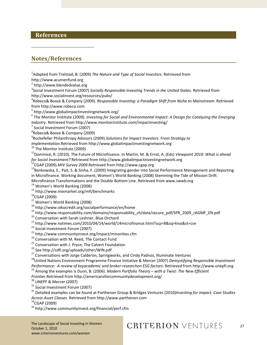**References**

### **Notes/References**

1 Adapted from Trelstad, B. (2009) *The Nature and Type of Social Investors*. Retrieved from http://www.acumenfund.org <sup>2</sup> http://www.blendedvalue.org 3 Social Investment Forum (2007).*Socially Responsible Investing Trends in the United States*. Retrieved from http://www.socialinvest.org/resources/pubs/ <sup>4</sup> Robeco& Booze & Company (2009). *Responsible Investing: a Paradigm Shift from Niche to Mainstream*. Retrieved from http://www.robeco.com<br><sup>5</sup> http://www.globalimpactinvestingnetwork.org/ <sup>6</sup> The Monitor Institute (2009). *Investing for Social and Environmental Impact: A Design for Catalyzing the Emerging Industry*. Retrieved from http://www.monitorinstitute.com/impactinvesting/<br><sup>7</sup> Social Investment Forum (2007) <sup>8</sup>Robeco& Booze & Company (2009) Rockefeller Philanthropy Advisors (2009).*Solutions for Impact Investors: From Strategy to* <sup>10</sup> The Monitor Institute (2009)<br><sup>11</sup> Dominicé, R. (2010). The Future of Microfinance. In Martin, M. & Ernst, A. (Eds) *Viewpoint 2010: What is ahead*<br>*for Social Investment?* Retrieved from http://www.globalimpactinvesti <sup>12</sup>CGAP (2009).*MIV Survey 2009*.Retrieved from http://www.cgap.org<br><sup>13</sup>Bankowska, E., Pait, S. & Sinha, F. (2009) Integrating gender into Social Performance Management and Reporting in Microfinance. Working document; Women's World Banking (2008) Stemming the Tide of Mission Drift: Microfinance Transformations and the Double Bottom Line. Retrieved from www.swwb.org<br><sup>16</sup> Nomen's World Banking (2008)<br><sup>15</sup> Ntomen's World Banking (2008)<br><sup>16</sup> Nomen's World Banking (2008)<br><sup>18</sup> Nttp://www.oikorcedit.org/soc Performance: A review of keyacademic and broker researchon ESG factors. Retrieved from http://www.unepfi.org<br><sup>29</sup> Among the examples is Dunn, B. (2006). Modern Portfolio Theory – with a Twist: The New Efficient<br>Frontier.Re <sup>30</sup> UNEPF & Mercer (2007)<br><sup>31</sup> Social Investment Forum (2007)<br><sup>32</sup> Detailed examples can be found at Parthenon Group & Bridges Ventures (2010)*Investing for Impact: Case Studies*<br>*Across Asset Classes*. Retrieved from htt <sup>33</sup>CGAP (2009)<br><sup>34</sup> http://www.communityinvest.org/financial/perf.cfm

27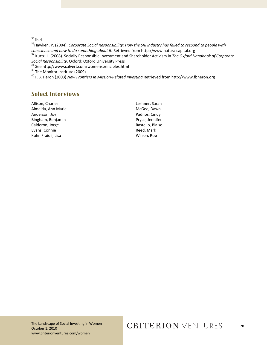<sup>35</sup> ibid 36Hawken, P. (2004). *Corporate Social Responsibility: How the SRI industry has failed to respond to people with* <sup>37</sup> Kurtz, L. (2008). Socially Responsible Investment and Shareholder Activism in The Oxford Handbook of Corporate

Social Responsibility. Oxford: Oxford University Press<br>
<sup>38</sup> See http://www.calvert.com/womensprinciples.html<br>
<sup>39</sup> The Monitor Institute (2009)<br>
<sup>40</sup> F.B. Heron (2003) *New Frontiers In Mission-Related Investing* Retrieve

## **Select Interviews**

Allison, Charles **Leshner, Sarah** Almeida, Ann Marie **McGee**, Dawn Anderson, Joy **Padnos**, Cindy Bingham, Benjamin Pryce, Jennifer Calderon, Jorge **Rastello, Blaise** Rastello, Blaise Evans, Connie **Reed, Mark** Kuhn Fraioli, Lisa Wilson, Rob